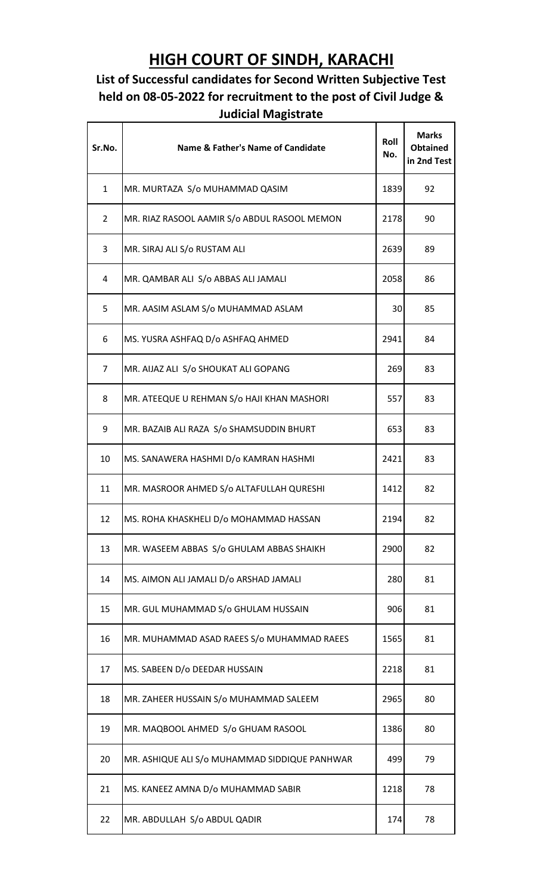## **HIGH COURT OF SINDH, KARACHI**

## **List of Successful candidates for Second Written Subjective Test held on 08-05-2022 for recruitment to the post of Civil Judge & Judicial Magistrate**

| Sr.No.         | <b>Name &amp; Father's Name of Candidate</b>  | Roll<br>No. | <b>Marks</b><br><b>Obtained</b><br>in 2nd Test |
|----------------|-----------------------------------------------|-------------|------------------------------------------------|
| $\mathbf{1}$   | MR. MURTAZA S/o MUHAMMAD QASIM                | 1839        | 92                                             |
| $\overline{2}$ | MR. RIAZ RASOOL AAMIR S/o ABDUL RASOOL MEMON  | 2178        | 90                                             |
| 3              | MR. SIRAJ ALI S/o RUSTAM ALI                  | 2639        | 89                                             |
| 4              | MR. QAMBAR ALI S/o ABBAS ALI JAMALI           | 2058        | 86                                             |
| 5              | MR. AASIM ASLAM S/o MUHAMMAD ASLAM            | 30          | 85                                             |
| 6              | MS. YUSRA ASHFAQ D/o ASHFAQ AHMED             | 2941        | 84                                             |
| 7              | MR. AIJAZ ALI S/o SHOUKAT ALI GOPANG          | 269         | 83                                             |
| 8              | MR. ATEEQUE U REHMAN S/o HAJI KHAN MASHORI    | 557         | 83                                             |
| 9              | MR. BAZAIB ALI RAZA S/o SHAMSUDDIN BHURT      | 653         | 83                                             |
| 10             | MS. SANAWERA HASHMI D/o KAMRAN HASHMI         | 2421        | 83                                             |
| 11             | MR. MASROOR AHMED S/o ALTAFULLAH QURESHI      | 1412        | 82                                             |
| 12             | MS. ROHA KHASKHELI D/o MOHAMMAD HASSAN        | 2194        | 82                                             |
| 13             | MR. WASEEM ABBAS S/o GHULAM ABBAS SHAIKH      | 2900        | 82                                             |
| 14             | MS. AIMON ALI JAMALI D/o ARSHAD JAMALI        | 280         | 81                                             |
| 15             | MR. GUL MUHAMMAD S/o GHULAM HUSSAIN           | 906         | 81                                             |
| 16             | MR. MUHAMMAD ASAD RAEES S/o MUHAMMAD RAEES    | 1565        | 81                                             |
| 17             | MS. SABEEN D/o DEEDAR HUSSAIN                 | 2218        | 81                                             |
| 18             | MR. ZAHEER HUSSAIN S/o MUHAMMAD SALEEM        | 2965        | 80                                             |
| 19             | MR. MAQBOOL AHMED S/o GHUAM RASOOL            | 1386        | 80                                             |
| 20             | MR. ASHIQUE ALI S/o MUHAMMAD SIDDIQUE PANHWAR | 499         | 79                                             |
| 21             | MS. KANEEZ AMNA D/o MUHAMMAD SABIR            | 1218        | 78                                             |
| 22             | MR. ABDULLAH S/o ABDUL QADIR                  | 174         | 78                                             |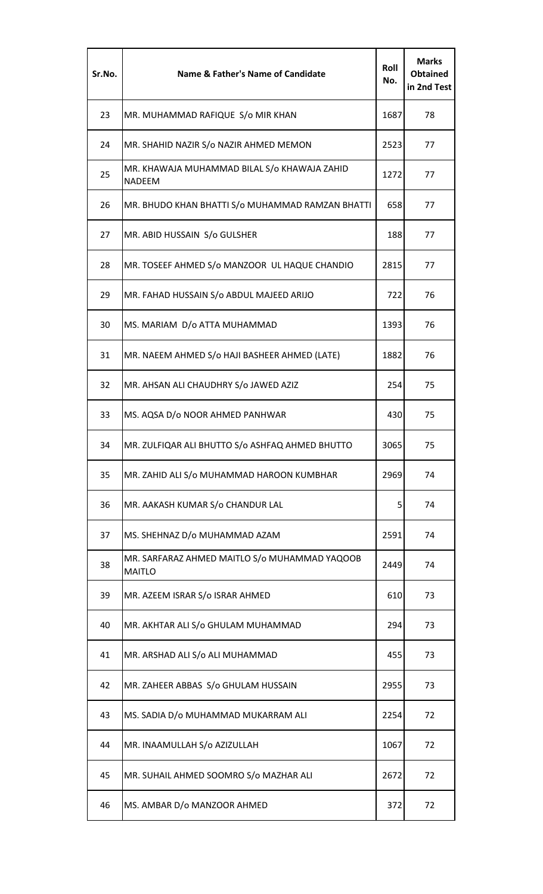| Sr.No. | <b>Name &amp; Father's Name of Candidate</b>                   | Roll<br>No. | <b>Marks</b><br><b>Obtained</b><br>in 2nd Test |
|--------|----------------------------------------------------------------|-------------|------------------------------------------------|
| 23     | MR. MUHAMMAD RAFIQUE S/o MIR KHAN                              | 1687        | 78                                             |
| 24     | MR. SHAHID NAZIR S/o NAZIR AHMED MEMON                         | 2523        | 77                                             |
| 25     | MR. KHAWAJA MUHAMMAD BILAL S/o KHAWAJA ZAHID<br><b>NADEEM</b>  | 1272        | 77                                             |
| 26     | MR. BHUDO KHAN BHATTI S/o MUHAMMAD RAMZAN BHATTI               | 658         | 77                                             |
| 27     | MR. ABID HUSSAIN S/o GULSHER                                   | 188         | 77                                             |
| 28     | MR. TOSEEF AHMED S/o MANZOOR UL HAQUE CHANDIO                  | 2815        | 77                                             |
| 29     | MR. FAHAD HUSSAIN S/o ABDUL MAJEED ARIJO                       | 722         | 76                                             |
| 30     | MS. MARIAM D/o ATTA MUHAMMAD                                   | 1393        | 76                                             |
| 31     | MR. NAEEM AHMED S/o HAJI BASHEER AHMED (LATE)                  | 1882        | 76                                             |
| 32     | MR. AHSAN ALI CHAUDHRY S/o JAWED AZIZ                          | 254         | 75                                             |
| 33     | MS. AQSA D/o NOOR AHMED PANHWAR                                | 430         | 75                                             |
| 34     | MR. ZULFIQAR ALI BHUTTO S/o ASHFAQ AHMED BHUTTO                | 3065        | 75                                             |
| 35     | MR. ZAHID ALI S/o MUHAMMAD HAROON KUMBHAR                      | 2969        | 74                                             |
| 36     | MR. AAKASH KUMAR S/o CHANDUR LAL                               | 5           | 74                                             |
| 37     | MS. SHEHNAZ D/o MUHAMMAD AZAM                                  | 2591        | 74                                             |
| 38     | MR. SARFARAZ AHMED MAITLO S/o MUHAMMAD YAQOOB<br><b>MAITLO</b> | 2449        | 74                                             |
| 39     | MR. AZEEM ISRAR S/o ISRAR AHMED                                | 610         | 73                                             |
| 40     | MR. AKHTAR ALI S/o GHULAM MUHAMMAD                             | 294         | 73                                             |
| 41     | MR. ARSHAD ALI S/o ALI MUHAMMAD                                | 455         | 73                                             |
| 42     | MR. ZAHEER ABBAS S/o GHULAM HUSSAIN                            | 2955        | 73                                             |
| 43     | MS. SADIA D/o MUHAMMAD MUKARRAM ALI                            | 2254        | 72                                             |
| 44     | MR. INAAMULLAH S/o AZIZULLAH                                   | 1067        | 72                                             |
| 45     | MR. SUHAIL AHMED SOOMRO S/o MAZHAR ALI                         | 2672        | 72                                             |
| 46     | MS. AMBAR D/o MANZOOR AHMED                                    | 372         | 72                                             |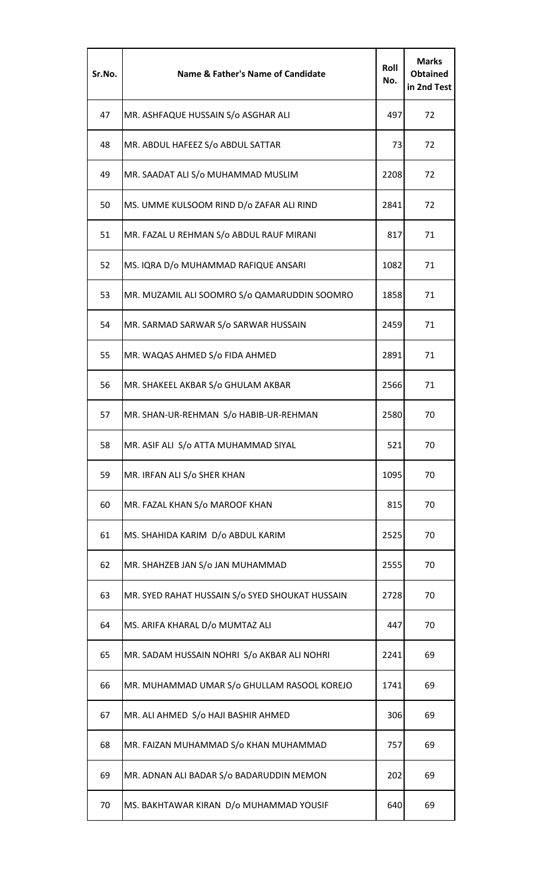| Sr.No. | <b>Name &amp; Father's Name of Candidate</b>    | Roll<br>No. | <b>Marks</b><br><b>Obtained</b><br>in 2nd Test |
|--------|-------------------------------------------------|-------------|------------------------------------------------|
| 47     | MR. ASHFAQUE HUSSAIN S/o ASGHAR ALI             | 497         | 72                                             |
| 48     | MR. ABDUL HAFEEZ S/o ABDUL SATTAR               | 73          | 72                                             |
| 49     | MR. SAADAT ALI S/o MUHAMMAD MUSLIM              | 2208        | 72                                             |
| 50     | MS. UMME KULSOOM RIND D/o ZAFAR ALI RIND        | 2841        | 72                                             |
| 51     | MR. FAZAL U REHMAN S/o ABDUL RAUF MIRANI        | 817         | 71                                             |
| 52     | MS. IQRA D/o MUHAMMAD RAFIQUE ANSARI            | 1082        | 71                                             |
| 53     | MR. MUZAMIL ALI SOOMRO S/o QAMARUDDIN SOOMRO    | 1858        | 71                                             |
| 54     | MR. SARMAD SARWAR S/o SARWAR HUSSAIN            | 2459        | 71                                             |
| 55     | MR. WAQAS AHMED S/o FIDA AHMED                  | 2891        | 71                                             |
| 56     | MR. SHAKEEL AKBAR S/o GHULAM AKBAR              | 2566        | 71                                             |
| 57     | MR. SHAN-UR-REHMAN S/o HABIB-UR-REHMAN          | 2580        | 70                                             |
| 58     | MR. ASIF ALI S/o ATTA MUHAMMAD SIYAL            | 521         | 70                                             |
| 59     | MR. IRFAN ALI S/o SHER KHAN                     | 1095        | 70                                             |
| 60     | MR. FAZAL KHAN S/o MAROOF KHAN                  | 815         | 70                                             |
| 61     | MS. SHAHIDA KARIM D/o ABDUL KARIM               | 2525        | 70                                             |
| 62     | MR. SHAHZEB JAN S/o JAN MUHAMMAD                | 2555        | 70                                             |
| 63     | MR. SYED RAHAT HUSSAIN S/o SYED SHOUKAT HUSSAIN | 2728        | 70                                             |
| 64     | MS. ARIFA KHARAL D/o MUMTAZ ALI                 | 447         | 70                                             |
| 65     | MR. SADAM HUSSAIN NOHRI S/o AKBAR ALI NOHRI     | 2241        | 69                                             |
| 66     | MR. MUHAMMAD UMAR S/o GHULLAM RASOOL KOREJO     | 1741        | 69                                             |
| 67     | MR. ALI AHMED S/o HAJI BASHIR AHMED             | 306         | 69                                             |
| 68     | MR. FAIZAN MUHAMMAD S/o KHAN MUHAMMAD           | 757         | 69                                             |
| 69     | MR. ADNAN ALI BADAR S/o BADARUDDIN MEMON        | 202         | 69                                             |
| 70     | MS. BAKHTAWAR KIRAN D/o MUHAMMAD YOUSIF         | 640         | 69                                             |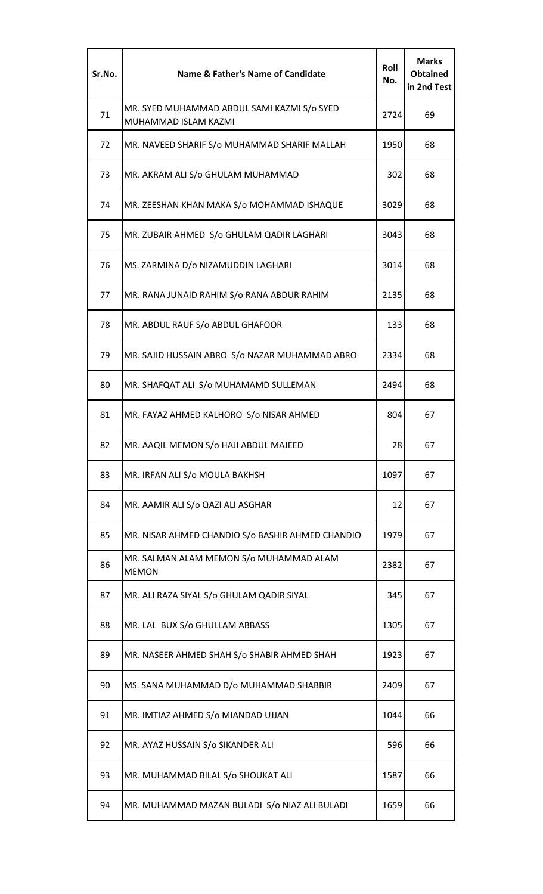| Sr.No. | <b>Name &amp; Father's Name of Candidate</b>                        | Roll<br>No. | <b>Marks</b><br>Obtained<br>in 2nd Test |
|--------|---------------------------------------------------------------------|-------------|-----------------------------------------|
| 71     | MR. SYED MUHAMMAD ABDUL SAMI KAZMI S/o SYED<br>MUHAMMAD ISLAM KAZMI | 2724        | 69                                      |
| 72     | MR. NAVEED SHARIF S/o MUHAMMAD SHARIF MALLAH                        | 1950        | 68                                      |
| 73     | MR. AKRAM ALI S/o GHULAM MUHAMMAD                                   | 302         | 68                                      |
| 74     | MR. ZEESHAN KHAN MAKA S/o MOHAMMAD ISHAQUE                          | 3029        | 68                                      |
| 75     | MR. ZUBAIR AHMED S/o GHULAM QADIR LAGHARI                           | 3043        | 68                                      |
| 76     | MS. ZARMINA D/o NIZAMUDDIN LAGHARI                                  | 3014        | 68                                      |
| 77     | MR. RANA JUNAID RAHIM S/o RANA ABDUR RAHIM                          | 2135        | 68                                      |
| 78     | MR. ABDUL RAUF S/o ABDUL GHAFOOR                                    | 133         | 68                                      |
| 79     | MR. SAJID HUSSAIN ABRO S/o NAZAR MUHAMMAD ABRO                      | 2334        | 68                                      |
| 80     | MR. SHAFQAT ALI S/o MUHAMAMD SULLEMAN                               | 2494        | 68                                      |
| 81     | MR. FAYAZ AHMED KALHORO S/o NISAR AHMED                             | 804         | 67                                      |
| 82     | MR. AAQIL MEMON S/o HAJI ABDUL MAJEED                               | 28          | 67                                      |
| 83     | MR. IRFAN ALI S/o MOULA BAKHSH                                      | 1097        | 67                                      |
| 84     | MR. AAMIR ALI S/o QAZI ALI ASGHAR                                   | 12          | 67                                      |
| 85     | MR. NISAR AHMED CHANDIO S/o BASHIR AHMED CHANDIO                    | 1979        | 67                                      |
| 86     | MR. SALMAN ALAM MEMON S/o MUHAMMAD ALAM<br><b>MEMON</b>             | 2382        | 67                                      |
| 87     | MR. ALI RAZA SIYAL S/o GHULAM QADIR SIYAL                           | 345         | 67                                      |
| 88     | MR. LAL BUX S/o GHULLAM ABBASS                                      | 1305        | 67                                      |
| 89     | MR. NASEER AHMED SHAH S/o SHABIR AHMED SHAH                         | 1923        | 67                                      |
| 90     | MS. SANA MUHAMMAD D/o MUHAMMAD SHABBIR                              | 2409        | 67                                      |
| 91     | MR. IMTIAZ AHMED S/o MIANDAD UJJAN                                  | 1044        | 66                                      |
| 92     | MR. AYAZ HUSSAIN S/o SIKANDER ALI                                   | 596         | 66                                      |
| 93     | MR. MUHAMMAD BILAL S/o SHOUKAT ALI                                  | 1587        | 66                                      |
| 94     | MR. MUHAMMAD MAZAN BULADI S/o NIAZ ALI BULADI                       | 1659        | 66                                      |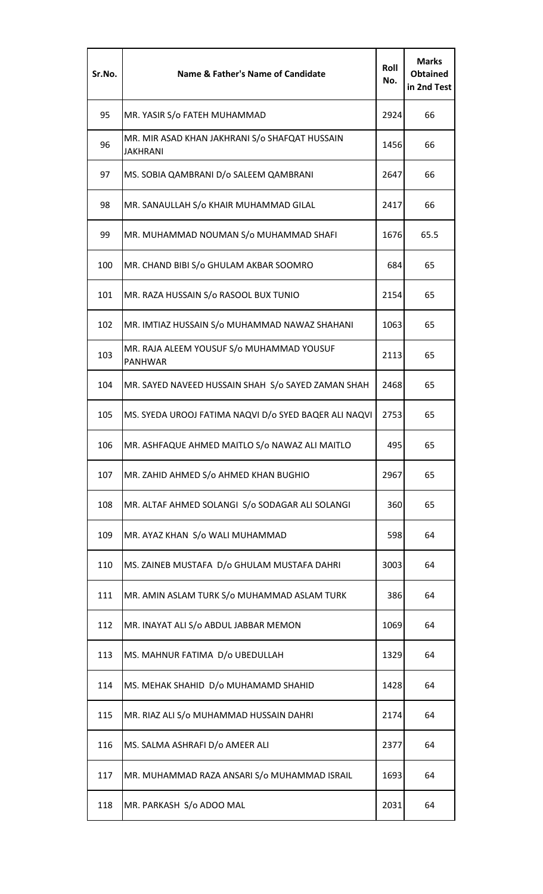| Sr.No. | Name & Father's Name of Candidate                                 | Roll<br>No. | <b>Marks</b><br><b>Obtained</b><br>in 2nd Test |
|--------|-------------------------------------------------------------------|-------------|------------------------------------------------|
| 95     | MR. YASIR S/o FATEH MUHAMMAD                                      | 2924        | 66                                             |
| 96     | MR. MIR ASAD KHAN JAKHRANI S/o SHAFQAT HUSSAIN<br><b>JAKHRANI</b> | 1456        | 66                                             |
| 97     | MS. SOBIA QAMBRANI D/o SALEEM QAMBRANI                            | 2647        | 66                                             |
| 98     | MR. SANAULLAH S/o KHAIR MUHAMMAD GILAL                            | 2417        | 66                                             |
| 99     | MR. MUHAMMAD NOUMAN S/o MUHAMMAD SHAFI                            | 1676        | 65.5                                           |
| 100    | MR. CHAND BIBI S/o GHULAM AKBAR SOOMRO                            | 684         | 65                                             |
| 101    | MR. RAZA HUSSAIN S/o RASOOL BUX TUNIO                             | 2154        | 65                                             |
| 102    | MR. IMTIAZ HUSSAIN S/o MUHAMMAD NAWAZ SHAHANI                     | 1063        | 65                                             |
| 103    | MR. RAJA ALEEM YOUSUF S/o MUHAMMAD YOUSUF<br><b>PANHWAR</b>       | 2113        | 65                                             |
| 104    | MR. SAYED NAVEED HUSSAIN SHAH S/o SAYED ZAMAN SHAH                | 2468        | 65                                             |
| 105    | MS. SYEDA UROOJ FATIMA NAQVI D/o SYED BAQER ALI NAQVI             | 2753        | 65                                             |
| 106    | MR. ASHFAQUE AHMED MAITLO S/o NAWAZ ALI MAITLO                    | 495         | 65                                             |
| 107    | MR. ZAHID AHMED S/o AHMED KHAN BUGHIO                             | 2967        | 65                                             |
| 108    | MR. ALTAF AHMED SOLANGI S/o SODAGAR ALI SOLANGI                   | 360         | 65                                             |
| 109    | MR. AYAZ KHAN S/o WALI MUHAMMAD                                   | 598         | 64                                             |
| 110    | MS. ZAINEB MUSTAFA D/o GHULAM MUSTAFA DAHRI                       | 3003        | 64                                             |
| 111    | MR. AMIN ASLAM TURK S/o MUHAMMAD ASLAM TURK                       | 386         | 64                                             |
| 112    | MR. INAYAT ALI S/o ABDUL JABBAR MEMON                             | 1069        | 64                                             |
| 113    | MS. MAHNUR FATIMA D/o UBEDULLAH                                   | 1329        | 64                                             |
| 114    | MS. MEHAK SHAHID D/o MUHAMAMD SHAHID                              | 1428        | 64                                             |
| 115    | MR. RIAZ ALI S/o MUHAMMAD HUSSAIN DAHRI                           | 2174        | 64                                             |
| 116    | MS. SALMA ASHRAFI D/o AMEER ALI                                   | 2377        | 64                                             |
| 117    | MR. MUHAMMAD RAZA ANSARI S/o MUHAMMAD ISRAIL                      | 1693        | 64                                             |
| 118    | MR. PARKASH S/o ADOO MAL                                          | 2031        | 64                                             |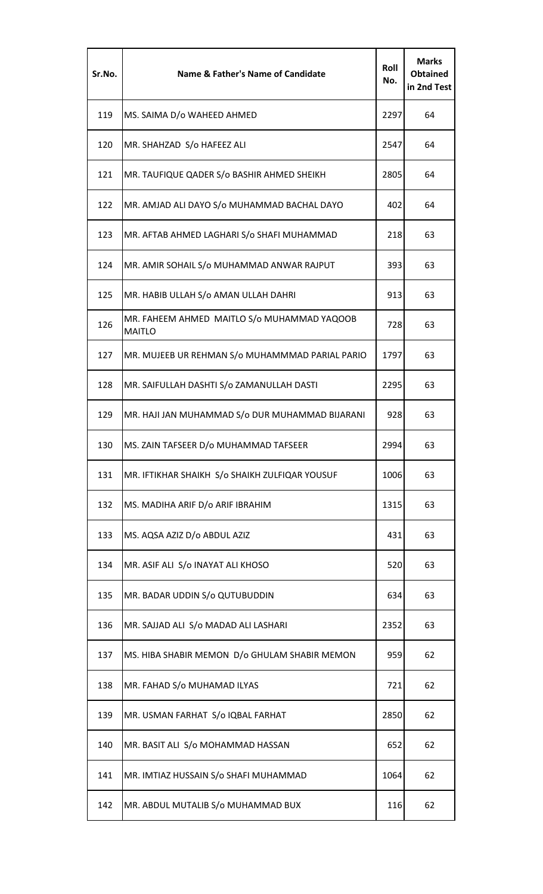| Sr.No. | <b>Name &amp; Father's Name of Candidate</b>                 | Roll<br>No. | <b>Marks</b><br><b>Obtained</b><br>in 2nd Test |
|--------|--------------------------------------------------------------|-------------|------------------------------------------------|
| 119    | MS. SAIMA D/o WAHEED AHMED                                   | 2297        | 64                                             |
| 120    | MR. SHAHZAD S/o HAFEEZ ALI                                   | 2547        | 64                                             |
| 121    | MR. TAUFIQUE QADER S/o BASHIR AHMED SHEIKH                   | 2805        | 64                                             |
| 122    | MR. AMJAD ALI DAYO S/o MUHAMMAD BACHAL DAYO                  | 402         | 64                                             |
| 123    | MR. AFTAB AHMED LAGHARI S/o SHAFI MUHAMMAD                   | 218         | 63                                             |
| 124    | MR. AMIR SOHAIL S/o MUHAMMAD ANWAR RAJPUT                    | 393         | 63                                             |
| 125    | MR. HABIB ULLAH S/o AMAN ULLAH DAHRI                         | 913         | 63                                             |
| 126    | MR. FAHEEM AHMED MAITLO S/o MUHAMMAD YAQOOB<br><b>MAITLO</b> | 728         | 63                                             |
| 127    | MR. MUJEEB UR REHMAN S/o MUHAMMMAD PARIAL PARIO              | 1797        | 63                                             |
| 128    | MR. SAIFULLAH DASHTI S/o ZAMANULLAH DASTI                    | 2295        | 63                                             |
| 129    | MR. HAJI JAN MUHAMMAD S/o DUR MUHAMMAD BIJARANI              | 928         | 63                                             |
| 130    | MS. ZAIN TAFSEER D/o MUHAMMAD TAFSEER                        | 2994        | 63                                             |
| 131    | MR. IFTIKHAR SHAIKH S/o SHAIKH ZULFIQAR YOUSUF               | 1006        | 63                                             |
| 132    | MS. MADIHA ARIF D/o ARIF IBRAHIM                             | 1315        | 63                                             |
| 133    | MS. AQSA AZIZ D/o ABDUL AZIZ                                 | 431         | 63                                             |
| 134    | MR. ASIF ALI S/o INAYAT ALI KHOSO                            | 520         | 63                                             |
| 135    | MR. BADAR UDDIN S/o QUTUBUDDIN                               | 634         | 63                                             |
| 136    | MR. SAJJAD ALI S/o MADAD ALI LASHARI                         | 2352        | 63                                             |
| 137    | MS. HIBA SHABIR MEMON D/o GHULAM SHABIR MEMON                | 959         | 62                                             |
| 138    | MR. FAHAD S/o MUHAMAD ILYAS                                  | 721         | 62                                             |
| 139    | MR. USMAN FARHAT S/o IQBAL FARHAT                            | 2850        | 62                                             |
| 140    | MR. BASIT ALI S/o MOHAMMAD HASSAN                            | 652         | 62                                             |
| 141    | MR. IMTIAZ HUSSAIN S/o SHAFI MUHAMMAD                        | 1064        | 62                                             |
| 142    | MR. ABDUL MUTALIB S/o MUHAMMAD BUX                           | 116         | 62                                             |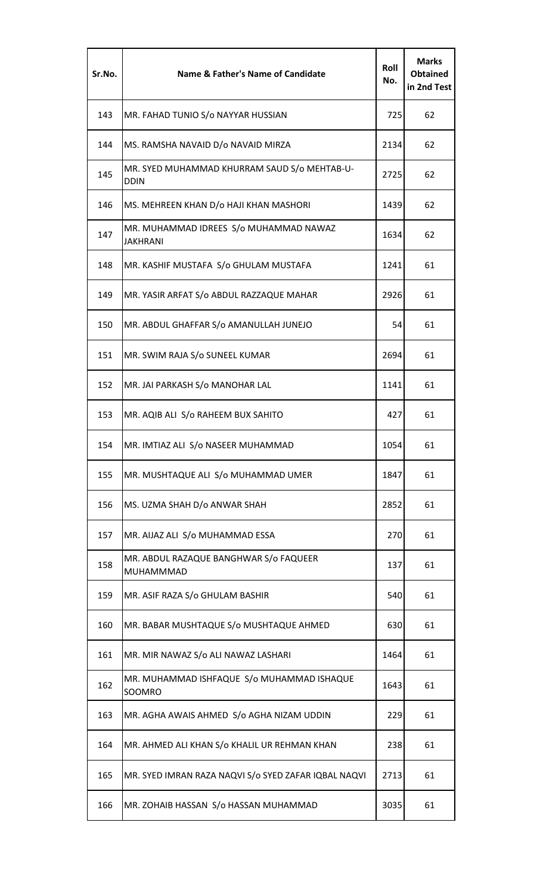| Sr.No. | Name & Father's Name of Candidate                           | Roll<br>No. | <b>Marks</b><br><b>Obtained</b><br>in 2nd Test |
|--------|-------------------------------------------------------------|-------------|------------------------------------------------|
| 143    | MR. FAHAD TUNIO S/o NAYYAR HUSSIAN                          | 725         | 62                                             |
| 144    | MS. RAMSHA NAVAID D/o NAVAID MIRZA                          | 2134        | 62                                             |
| 145    | MR. SYED MUHAMMAD KHURRAM SAUD S/o MEHTAB-U-<br><b>DDIN</b> | 2725        | 62                                             |
| 146    | MS. MEHREEN KHAN D/o HAJI KHAN MASHORI                      | 1439        | 62                                             |
| 147    | MR. MUHAMMAD IDREES S/o MUHAMMAD NAWAZ<br><b>JAKHRANI</b>   | 1634        | 62                                             |
| 148    | MR. KASHIF MUSTAFA S/o GHULAM MUSTAFA                       | 1241        | 61                                             |
| 149    | MR. YASIR ARFAT S/o ABDUL RAZZAQUE MAHAR                    | 2926        | 61                                             |
| 150    | MR. ABDUL GHAFFAR S/o AMANULLAH JUNEJO                      | 54          | 61                                             |
| 151    | MR. SWIM RAJA S/o SUNEEL KUMAR                              | 2694        | 61                                             |
| 152    | MR. JAI PARKASH S/o MANOHAR LAL                             | 1141        | 61                                             |
| 153    | MR. AQIB ALI S/o RAHEEM BUX SAHITO                          | 427         | 61                                             |
| 154    | MR. IMTIAZ ALI S/o NASEER MUHAMMAD                          | 1054        | 61                                             |
| 155    | MR. MUSHTAQUE ALI S/o MUHAMMAD UMER                         | 1847        | 61                                             |
| 156    | MS. UZMA SHAH D/o ANWAR SHAH                                | 2852        | 61                                             |
| 157    | MR. AIJAZ ALI S/o MUHAMMAD ESSA                             | 270         | 61                                             |
| 158    | MR. ABDUL RAZAQUE BANGHWAR S/o FAQUEER<br>MUHAMMMAD         | 137         | 61                                             |
| 159    | MR. ASIF RAZA S/o GHULAM BASHIR                             | 540         | 61                                             |
| 160    | MR. BABAR MUSHTAQUE S/o MUSHTAQUE AHMED                     | 630         | 61                                             |
| 161    | MR. MIR NAWAZ S/o ALI NAWAZ LASHARI                         | 1464        | 61                                             |
| 162    | MR. MUHAMMAD ISHFAQUE S/o MUHAMMAD ISHAQUE<br>SOOMRO        | 1643        | 61                                             |
| 163    | MR. AGHA AWAIS AHMED S/o AGHA NIZAM UDDIN                   | 229         | 61                                             |
| 164    | MR. AHMED ALI KHAN S/o KHALIL UR REHMAN KHAN                | 238         | 61                                             |
| 165    | MR. SYED IMRAN RAZA NAQVI S/o SYED ZAFAR IQBAL NAQVI        | 2713        | 61                                             |
| 166    | MR. ZOHAIB HASSAN S/o HASSAN MUHAMMAD                       | 3035        | 61                                             |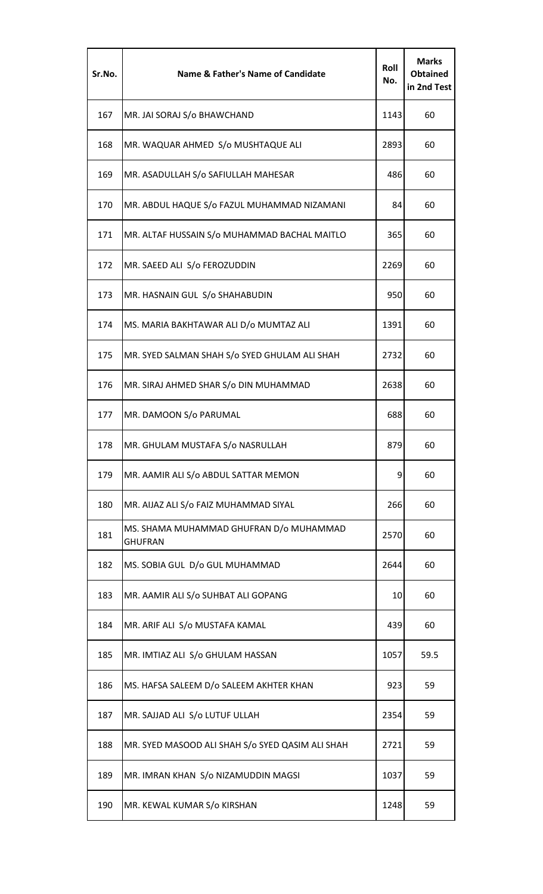| Sr.No. | <b>Name &amp; Father's Name of Candidate</b>              | Roll<br>No. | <b>Marks</b><br><b>Obtained</b><br>in 2nd Test |
|--------|-----------------------------------------------------------|-------------|------------------------------------------------|
| 167    | MR. JAI SORAJ S/o BHAWCHAND                               | 1143        | 60                                             |
| 168    | MR. WAQUAR AHMED S/o MUSHTAQUE ALI                        | 2893        | 60                                             |
| 169    | MR. ASADULLAH S/o SAFIULLAH MAHESAR                       | 486         | 60                                             |
| 170    | MR. ABDUL HAQUE S/o FAZUL MUHAMMAD NIZAMANI               | 84          | 60                                             |
| 171    | MR. ALTAF HUSSAIN S/o MUHAMMAD BACHAL MAITLO              | 365         | 60                                             |
| 172    | MR. SAEED ALI S/o FEROZUDDIN                              | 2269        | 60                                             |
| 173    | MR. HASNAIN GUL S/o SHAHABUDIN                            | 950         | 60                                             |
| 174    | MS. MARIA BAKHTAWAR ALI D/o MUMTAZ ALI                    | 1391        | 60                                             |
| 175    | MR. SYED SALMAN SHAH S/o SYED GHULAM ALI SHAH             | 2732        | 60                                             |
| 176    | MR. SIRAJ AHMED SHAR S/o DIN MUHAMMAD                     | 2638        | 60                                             |
| 177    | MR. DAMOON S/o PARUMAL                                    | 688         | 60                                             |
| 178    | MR. GHULAM MUSTAFA S/o NASRULLAH                          | 879         | 60                                             |
| 179    | MR. AAMIR ALI S/o ABDUL SATTAR MEMON                      | 9           | 60                                             |
| 180    | MR. AIJAZ ALI S/o FAIZ MUHAMMAD SIYAL                     | 266         | 60                                             |
| 181    | MS. SHAMA MUHAMMAD GHUFRAN D/o MUHAMMAD<br><b>GHUFRAN</b> | 2570        | 60                                             |
| 182    | MS. SOBIA GUL D/o GUL MUHAMMAD                            | 2644        | 60                                             |
| 183    | MR. AAMIR ALI S/o SUHBAT ALI GOPANG                       | 10          | 60                                             |
| 184    | MR. ARIF ALI S/o MUSTAFA KAMAL                            | 439         | 60                                             |
| 185    | MR. IMTIAZ ALI S/o GHULAM HASSAN                          | 1057        | 59.5                                           |
| 186    | MS. HAFSA SALEEM D/o SALEEM AKHTER KHAN                   | 923         | 59                                             |
| 187    | MR. SAJJAD ALI S/o LUTUF ULLAH                            | 2354        | 59                                             |
| 188    | MR. SYED MASOOD ALI SHAH S/o SYED QASIM ALI SHAH          | 2721        | 59                                             |
| 189    | MR. IMRAN KHAN S/o NIZAMUDDIN MAGSI                       | 1037        | 59                                             |
| 190    | MR. KEWAL KUMAR S/o KIRSHAN                               | 1248        | 59                                             |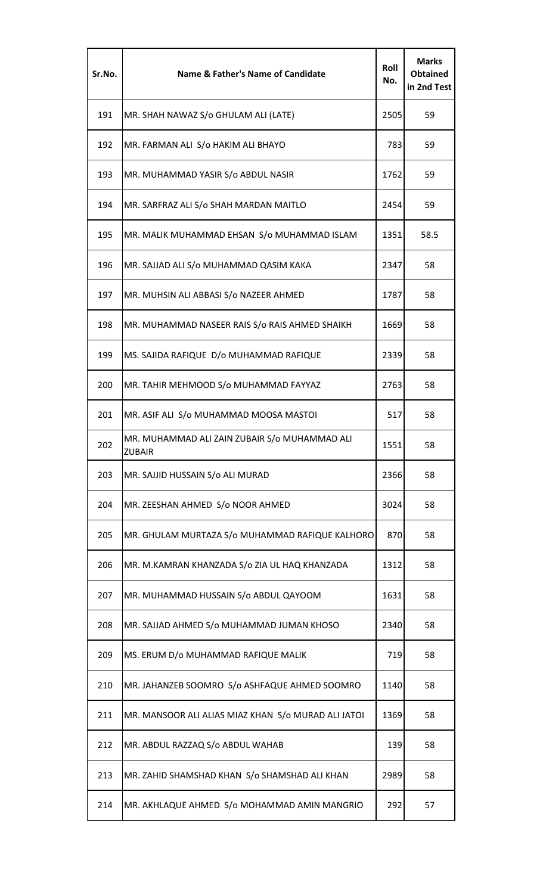| Sr.No. | <b>Name &amp; Father's Name of Candidate</b>                   | Roll<br>No. | <b>Marks</b><br><b>Obtained</b><br>in 2nd Test |
|--------|----------------------------------------------------------------|-------------|------------------------------------------------|
| 191    | MR. SHAH NAWAZ S/o GHULAM ALI (LATE)                           | 2505        | 59                                             |
| 192    | MR. FARMAN ALI S/o HAKIM ALI BHAYO                             | 783         | 59                                             |
| 193    | MR. MUHAMMAD YASIR S/o ABDUL NASIR                             | 1762        | 59                                             |
| 194    | MR. SARFRAZ ALI S/o SHAH MARDAN MAITLO                         | 2454        | 59                                             |
| 195    | MR. MALIK MUHAMMAD EHSAN S/o MUHAMMAD ISLAM                    | 1351        | 58.5                                           |
| 196    | MR. SAJJAD ALI S/o MUHAMMAD QASIM KAKA                         | 2347        | 58                                             |
| 197    | MR. MUHSIN ALI ABBASI S/o NAZEER AHMED                         | 1787        | 58                                             |
| 198    | MR. MUHAMMAD NASEER RAIS S/o RAIS AHMED SHAIKH                 | 1669        | 58                                             |
| 199    | MS. SAJIDA RAFIQUE D/o MUHAMMAD RAFIQUE                        | 2339        | 58                                             |
| 200    | MR. TAHIR MEHMOOD S/o MUHAMMAD FAYYAZ                          | 2763        | 58                                             |
| 201    | MR. ASIF ALI S/o MUHAMMAD MOOSA MASTOI                         | 517         | 58                                             |
| 202    | MR. MUHAMMAD ALI ZAIN ZUBAIR S/o MUHAMMAD ALI<br><b>ZUBAIR</b> | 1551        | 58                                             |
| 203    | MR. SAJJID HUSSAIN S/o ALI MURAD                               | 2366        | 58                                             |
| 204    | MR. ZEESHAN AHMED S/o NOOR AHMED                               | 3024        | 58                                             |
| 205    | MR. GHULAM MURTAZA S/o MUHAMMAD RAFIQUE KALHORO                | 870         | 58                                             |
| 206    | MR. M.KAMRAN KHANZADA S/o ZIA UL HAQ KHANZADA                  | 1312        | 58                                             |
| 207    | MR. MUHAMMAD HUSSAIN S/o ABDUL QAYOOM                          | 1631        | 58                                             |
| 208    | MR. SAJJAD AHMED S/o MUHAMMAD JUMAN KHOSO                      | 2340        | 58                                             |
| 209    | MS. ERUM D/o MUHAMMAD RAFIQUE MALIK                            | 719         | 58                                             |
| 210    | MR. JAHANZEB SOOMRO S/o ASHFAQUE AHMED SOOMRO                  | 1140        | 58                                             |
| 211    | MR. MANSOOR ALI ALIAS MIAZ KHAN S/0 MURAD ALI JATOI            | 1369        | 58                                             |
| 212    | MR. ABDUL RAZZAQ S/o ABDUL WAHAB                               | 139         | 58                                             |
| 213    | MR. ZAHID SHAMSHAD KHAN S/o SHAMSHAD ALI KHAN                  | 2989        | 58                                             |
| 214    | MR. AKHLAQUE AHMED S/o MOHAMMAD AMIN MANGRIO                   | 292         | 57                                             |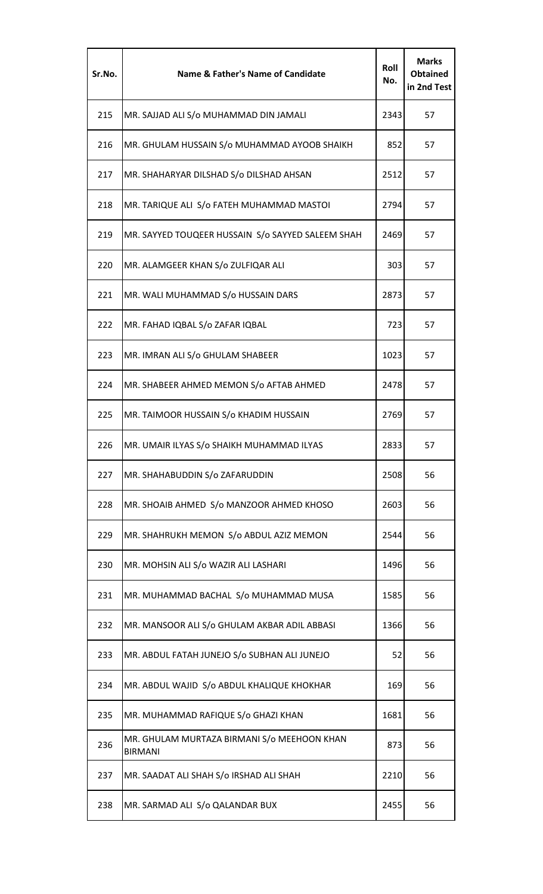| Sr.No. | <b>Name &amp; Father's Name of Candidate</b>                  | Roll<br>No. | <b>Marks</b><br><b>Obtained</b><br>in 2nd Test |
|--------|---------------------------------------------------------------|-------------|------------------------------------------------|
| 215    | MR. SAJJAD ALI S/o MUHAMMAD DIN JAMALI                        | 2343        | 57                                             |
| 216    | MR. GHULAM HUSSAIN S/o MUHAMMAD AYOOB SHAIKH                  | 852         | 57                                             |
| 217    | MR. SHAHARYAR DILSHAD S/o DILSHAD AHSAN                       | 2512        | 57                                             |
| 218    | MR. TARIQUE ALI S/o FATEH MUHAMMAD MASTOI                     | 2794        | 57                                             |
| 219    | MR. SAYYED TOUQEER HUSSAIN S/o SAYYED SALEEM SHAH             | 2469        | 57                                             |
| 220    | MR. ALAMGEER KHAN S/o ZULFIQAR ALI                            | 303         | 57                                             |
| 221    | MR. WALI MUHAMMAD S/o HUSSAIN DARS                            | 2873        | 57                                             |
| 222    | MR. FAHAD IQBAL S/o ZAFAR IQBAL                               | 723         | 57                                             |
| 223    | MR. IMRAN ALI S/o GHULAM SHABEER                              | 1023        | 57                                             |
| 224    | MR. SHABEER AHMED MEMON S/o AFTAB AHMED                       | 2478        | 57                                             |
| 225    | MR. TAIMOOR HUSSAIN S/o KHADIM HUSSAIN                        | 2769        | 57                                             |
| 226    | MR. UMAIR ILYAS S/o SHAIKH MUHAMMAD ILYAS                     | 2833        | 57                                             |
| 227    | MR. SHAHABUDDIN S/o ZAFARUDDIN                                | 2508        | 56                                             |
| 228    | MR. SHOAIB AHMED S/o MANZOOR AHMED KHOSO                      | 2603        | 56                                             |
| 229    | MR. SHAHRUKH MEMON S/o ABDUL AZIZ MEMON                       | 2544        | 56                                             |
| 230    | MR. MOHSIN ALI S/o WAZIR ALI LASHARI                          | 1496        | 56                                             |
| 231    | MR. MUHAMMAD BACHAL S/o MUHAMMAD MUSA                         | 1585        | 56                                             |
| 232    | MR. MANSOOR ALI S/o GHULAM AKBAR ADIL ABBASI                  | 1366        | 56                                             |
| 233    | MR. ABDUL FATAH JUNEJO S/o SUBHAN ALI JUNEJO                  | 52          | 56                                             |
| 234    | MR. ABDUL WAJID S/o ABDUL KHALIQUE KHOKHAR                    | 169         | 56                                             |
| 235    | MR. MUHAMMAD RAFIQUE S/o GHAZI KHAN                           | 1681        | 56                                             |
| 236    | MR. GHULAM MURTAZA BIRMANI S/o MEEHOON KHAN<br><b>BIRMANI</b> | 873         | 56                                             |
| 237    | MR. SAADAT ALI SHAH S/o IRSHAD ALI SHAH                       | 2210        | 56                                             |
| 238    | MR. SARMAD ALI S/o QALANDAR BUX                               | 2455        | 56                                             |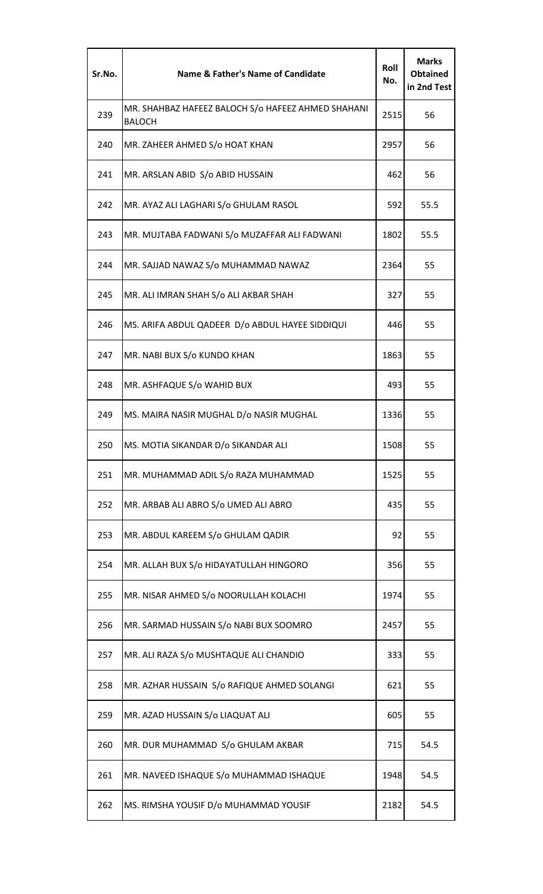| Sr.No. | Name & Father's Name of Candidate                                   | Roll<br>No. | <b>Marks</b><br><b>Obtained</b><br>in 2nd Test |
|--------|---------------------------------------------------------------------|-------------|------------------------------------------------|
| 239    | MR. SHAHBAZ HAFEEZ BALOCH S/o HAFEEZ AHMED SHAHANI<br><b>BALOCH</b> | 2515        | 56                                             |
| 240    | MR. ZAHEER AHMED S/o HOAT KHAN                                      | 2957        | 56                                             |
| 241    | MR. ARSLAN ABID S/o ABID HUSSAIN                                    | 462         | 56                                             |
| 242    | MR. AYAZ ALI LAGHARI S/o GHULAM RASOL                               | 592         | 55.5                                           |
| 243    | MR. MUJTABA FADWANI S/o MUZAFFAR ALI FADWANI                        | 1802        | 55.5                                           |
| 244    | MR. SAJJAD NAWAZ S/o MUHAMMAD NAWAZ                                 | 2364        | 55                                             |
| 245    | MR. ALI IMRAN SHAH S/o ALI AKBAR SHAH                               | 327         | 55                                             |
| 246    | MS. ARIFA ABDUL QADEER D/o ABDUL HAYEE SIDDIQUI                     | 446         | 55                                             |
| 247    | MR. NABI BUX S/o KUNDO KHAN                                         | 1863        | 55                                             |
| 248    | MR. ASHFAQUE S/o WAHID BUX                                          | 493         | 55                                             |
| 249    | MS. MAIRA NASIR MUGHAL D/o NASIR MUGHAL                             | 1336        | 55                                             |
| 250    | MS. MOTIA SIKANDAR D/o SIKANDAR ALI                                 | 1508        | 55                                             |
| 251    | MR. MUHAMMAD ADIL S/o RAZA MUHAMMAD                                 | 1525        | 55                                             |
| 252    | MR. ARBAB ALI ABRO S/o UMED ALI ABRO                                | 435         | 55                                             |
| 253    | MR. ABDUL KAREEM S/o GHULAM QADIR                                   | 92          | 55                                             |
| 254    | MR. ALLAH BUX S/o HIDAYATULLAH HINGORO                              | 356         | 55                                             |
| 255    | MR. NISAR AHMED S/o NOORULLAH KOLACHI                               | 1974        | 55                                             |
| 256    | MR. SARMAD HUSSAIN S/o NABI BUX SOOMRO                              | 2457        | 55                                             |
| 257    | MR. ALI RAZA S/o MUSHTAQUE ALI CHANDIO                              | 333         | 55                                             |
| 258    | MR. AZHAR HUSSAIN S/o RAFIQUE AHMED SOLANGI                         | 621         | 55                                             |
| 259    | MR. AZAD HUSSAIN S/o LIAQUAT ALI                                    | 605         | 55                                             |
| 260    | MR. DUR MUHAMMAD S/o GHULAM AKBAR                                   | 715         | 54.5                                           |
| 261    | MR. NAVEED ISHAQUE S/o MUHAMMAD ISHAQUE                             | 1948        | 54.5                                           |
| 262    | MS. RIMSHA YOUSIF D/o MUHAMMAD YOUSIF                               | 2182        | 54.5                                           |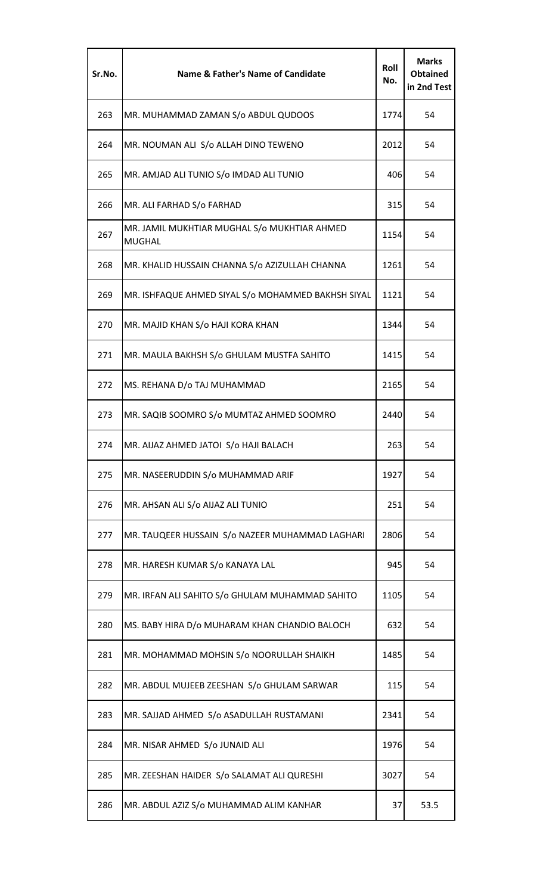| Sr.No. | Name & Father's Name of Candidate                             | Roll<br>No. | <b>Marks</b><br><b>Obtained</b><br>in 2nd Test |
|--------|---------------------------------------------------------------|-------------|------------------------------------------------|
| 263    | MR. MUHAMMAD ZAMAN S/o ABDUL QUDOOS                           | 1774        | 54                                             |
| 264    | MR. NOUMAN ALI S/o ALLAH DINO TEWENO                          | 2012        | 54                                             |
| 265    | MR. AMJAD ALI TUNIO S/o IMDAD ALI TUNIO                       | 406         | 54                                             |
| 266    | MR. ALI FARHAD S/o FARHAD                                     | 315         | 54                                             |
| 267    | MR. JAMIL MUKHTIAR MUGHAL S/o MUKHTIAR AHMED<br><b>MUGHAL</b> | 1154        | 54                                             |
| 268    | MR. KHALID HUSSAIN CHANNA S/o AZIZULLAH CHANNA                | 1261        | 54                                             |
| 269    | MR. ISHFAQUE AHMED SIYAL S/o MOHAMMED BAKHSH SIYAL            | 1121        | 54                                             |
| 270    | MR. MAJID KHAN S/o HAJI KORA KHAN                             | 1344        | 54                                             |
| 271    | MR. MAULA BAKHSH S/o GHULAM MUSTFA SAHITO                     | 1415        | 54                                             |
| 272    | MS. REHANA D/o TAJ MUHAMMAD                                   | 2165        | 54                                             |
| 273    | MR. SAQIB SOOMRO S/o MUMTAZ AHMED SOOMRO                      | 2440        | 54                                             |
| 274    | MR. AIJAZ AHMED JATOI S/o HAJI BALACH                         | 263         | 54                                             |
| 275    | MR. NASEERUDDIN S/o MUHAMMAD ARIF                             | 1927        | 54                                             |
| 276    | MR. AHSAN ALI S/o AIJAZ ALI TUNIO                             | 251         | 54                                             |
| 277    | MR. TAUQEER HUSSAIN S/o NAZEER MUHAMMAD LAGHARI               | 2806        | 54                                             |
| 278    | MR. HARESH KUMAR S/o KANAYA LAL                               | 945         | 54                                             |
| 279    | MR. IRFAN ALI SAHITO S/o GHULAM MUHAMMAD SAHITO               | 1105        | 54                                             |
| 280    | MS. BABY HIRA D/o MUHARAM KHAN CHANDIO BALOCH                 | 632         | 54                                             |
| 281    | MR. MOHAMMAD MOHSIN S/o NOORULLAH SHAIKH                      | 1485        | 54                                             |
| 282    | MR. ABDUL MUJEEB ZEESHAN S/o GHULAM SARWAR                    | 115         | 54                                             |
| 283    | MR. SAJJAD AHMED S/o ASADULLAH RUSTAMANI                      | 2341        | 54                                             |
| 284    | MR. NISAR AHMED S/o JUNAID ALI                                | 1976        | 54                                             |
| 285    | MR. ZEESHAN HAIDER S/o SALAMAT ALI QURESHI                    | 3027        | 54                                             |
| 286    | MR. ABDUL AZIZ S/o MUHAMMAD ALIM KANHAR                       | 37          | 53.5                                           |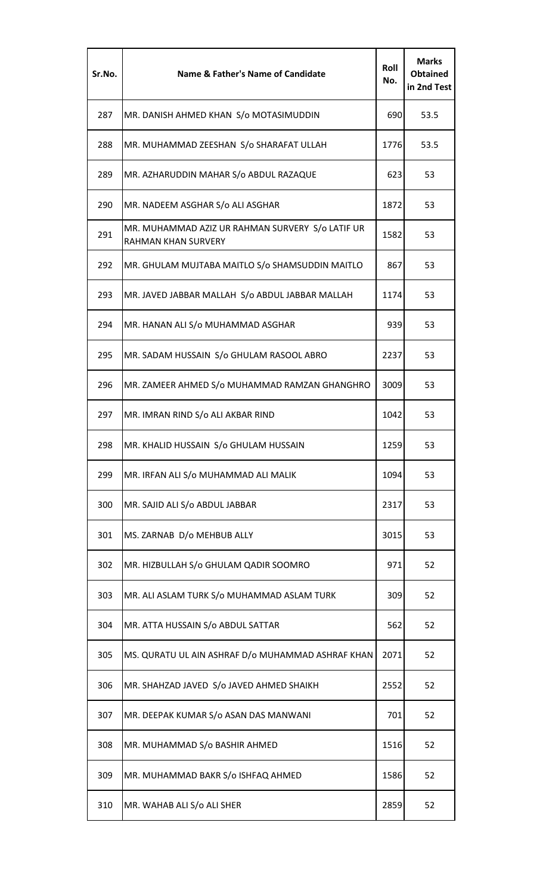| Sr.No. | <b>Name &amp; Father's Name of Candidate</b>                            | Roll<br>No. | <b>Marks</b><br><b>Obtained</b><br>in 2nd Test |
|--------|-------------------------------------------------------------------------|-------------|------------------------------------------------|
| 287    | MR. DANISH AHMED KHAN S/o MOTASIMUDDIN                                  | 690         | 53.5                                           |
| 288    | MR. MUHAMMAD ZEESHAN S/o SHARAFAT ULLAH                                 | 1776        | 53.5                                           |
| 289    | MR. AZHARUDDIN MAHAR S/o ABDUL RAZAQUE                                  | 623         | 53                                             |
| 290    | MR. NADEEM ASGHAR S/o ALI ASGHAR                                        | 1872        | 53                                             |
| 291    | MR. MUHAMMAD AZIZ UR RAHMAN SURVERY S/o LATIF UR<br>RAHMAN KHAN SURVERY | 1582        | 53                                             |
| 292    | MR. GHULAM MUJTABA MAITLO S/o SHAMSUDDIN MAITLO                         | 867         | 53                                             |
| 293    | MR. JAVED JABBAR MALLAH S/o ABDUL JABBAR MALLAH                         | 1174        | 53                                             |
| 294    | MR. HANAN ALI S/o MUHAMMAD ASGHAR                                       | 939         | 53                                             |
| 295    | MR. SADAM HUSSAIN S/o GHULAM RASOOL ABRO                                | 2237        | 53                                             |
| 296    | MR. ZAMEER AHMED S/o MUHAMMAD RAMZAN GHANGHRO                           | 3009        | 53                                             |
| 297    | MR. IMRAN RIND S/o ALI AKBAR RIND                                       | 1042        | 53                                             |
| 298    | MR. KHALID HUSSAIN S/o GHULAM HUSSAIN                                   | 1259        | 53                                             |
| 299    | MR. IRFAN ALI S/o MUHAMMAD ALI MALIK                                    | 1094        | 53                                             |
| 300    | MR. SAJID ALI S/o ABDUL JABBAR                                          | 2317        | 53                                             |
| 301    | MS. ZARNAB D/o MEHBUB ALLY                                              | 3015        | 53                                             |
| 302    | MR. HIZBULLAH S/o GHULAM QADIR SOOMRO                                   | 971         | 52                                             |
| 303    | MR. ALI ASLAM TURK S/o MUHAMMAD ASLAM TURK                              | 309         | 52                                             |
| 304    | MR. ATTA HUSSAIN S/o ABDUL SATTAR                                       | 562         | 52                                             |
| 305    | MS. QURATU UL AIN ASHRAF D/o MUHAMMAD ASHRAF KHAN                       | 2071        | 52                                             |
| 306    | MR. SHAHZAD JAVED S/o JAVED AHMED SHAIKH                                | 2552        | 52                                             |
| 307    | MR. DEEPAK KUMAR S/o ASAN DAS MANWANI                                   | 701         | 52                                             |
| 308    | MR. MUHAMMAD S/o BASHIR AHMED                                           | 1516        | 52                                             |
| 309    | MR. MUHAMMAD BAKR S/o ISHFAQ AHMED                                      | 1586        | 52                                             |
| 310    | MR. WAHAB ALI S/o ALI SHER                                              | 2859        | 52                                             |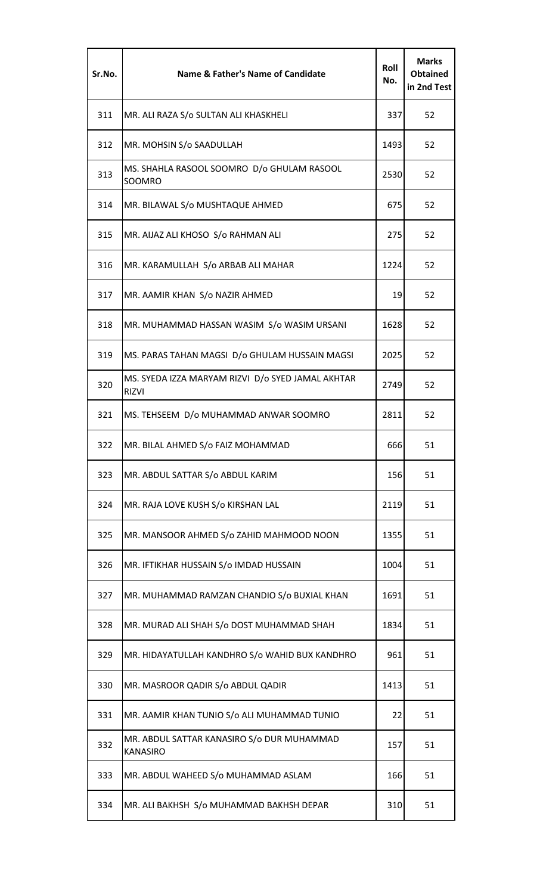| Sr.No. | <b>Name &amp; Father's Name of Candidate</b>                      | Roll<br>No. | <b>Marks</b><br><b>Obtained</b><br>in 2nd Test |
|--------|-------------------------------------------------------------------|-------------|------------------------------------------------|
| 311    | MR. ALI RAZA S/o SULTAN ALI KHASKHELI                             | 337         | 52                                             |
| 312    | MR. MOHSIN S/o SAADULLAH                                          | 1493        | 52                                             |
| 313    | MS. SHAHLA RASOOL SOOMRO D/o GHULAM RASOOL<br>SOOMRO              | 2530        | 52                                             |
| 314    | MR. BILAWAL S/o MUSHTAQUE AHMED                                   | 675         | 52                                             |
| 315    | MR. AIJAZ ALI KHOSO S/o RAHMAN ALI                                | 275         | 52                                             |
| 316    | MR. KARAMULLAH S/o ARBAB ALI MAHAR                                | 1224        | 52                                             |
| 317    | MR. AAMIR KHAN S/o NAZIR AHMED                                    | 19          | 52                                             |
| 318    | MR. MUHAMMAD HASSAN WASIM S/o WASIM URSANI                        | 1628        | 52                                             |
| 319    | MS. PARAS TAHAN MAGSI D/o GHULAM HUSSAIN MAGSI                    | 2025        | 52                                             |
| 320    | MS. SYEDA IZZA MARYAM RIZVI D/o SYED JAMAL AKHTAR<br><b>RIZVI</b> | 2749        | 52                                             |
| 321    | MS. TEHSEEM D/o MUHAMMAD ANWAR SOOMRO                             | 2811        | 52                                             |
| 322    | MR. BILAL AHMED S/o FAIZ MOHAMMAD                                 | 666         | 51                                             |
| 323    | MR. ABDUL SATTAR S/o ABDUL KARIM                                  | 156         | 51                                             |
| 324    | MR. RAJA LOVE KUSH S/o KIRSHAN LAL                                | 2119        | 51                                             |
| 325    | MR. MANSOOR AHMED S/o ZAHID MAHMOOD NOON                          | 1355        | 51                                             |
| 326    | MR. IFTIKHAR HUSSAIN S/o IMDAD HUSSAIN                            | 1004        | 51                                             |
| 327    | MR. MUHAMMAD RAMZAN CHANDIO S/o BUXIAL KHAN                       | 1691        | 51                                             |
| 328    | MR. MURAD ALI SHAH S/o DOST MUHAMMAD SHAH                         | 1834        | 51                                             |
| 329    | MR. HIDAYATULLAH KANDHRO S/0 WAHID BUX KANDHRO                    | 961         | 51                                             |
| 330    | MR. MASROOR QADIR S/o ABDUL QADIR                                 | 1413        | 51                                             |
| 331    | MR. AAMIR KHAN TUNIO S/o ALI MUHAMMAD TUNIO                       | 22          | 51                                             |
| 332    | MR. ABDUL SATTAR KANASIRO S/o DUR MUHAMMAD<br><b>KANASIRO</b>     | 157         | 51                                             |
| 333    | MR. ABDUL WAHEED S/o MUHAMMAD ASLAM                               | 166         | 51                                             |
| 334    | MR. ALI BAKHSH S/o MUHAMMAD BAKHSH DEPAR                          | 310         | 51                                             |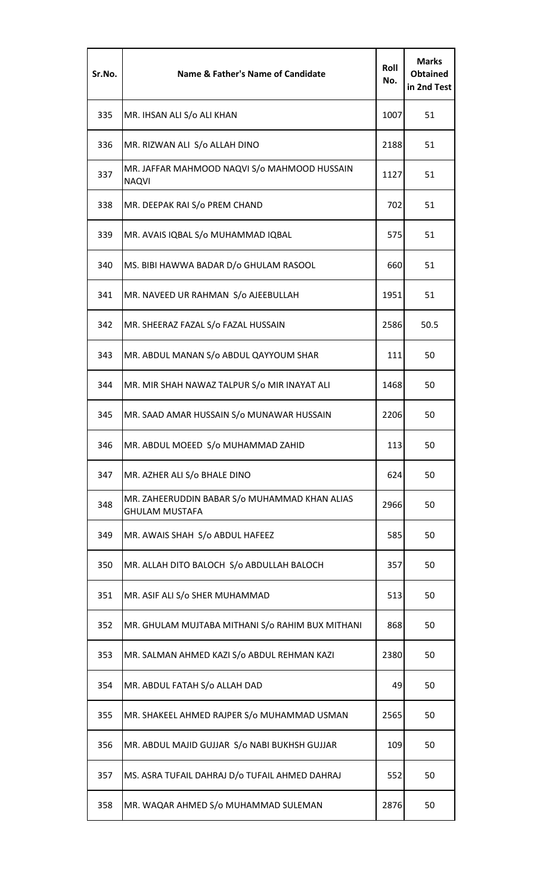| Sr.No. | <b>Name &amp; Father's Name of Candidate</b>                           | Roll<br>No. | <b>Marks</b><br><b>Obtained</b><br>in 2nd Test |
|--------|------------------------------------------------------------------------|-------------|------------------------------------------------|
| 335    | MR. IHSAN ALI S/o ALI KHAN                                             | 1007        | 51                                             |
| 336    | MR. RIZWAN ALI S/o ALLAH DINO                                          | 2188        | 51                                             |
| 337    | MR. JAFFAR MAHMOOD NAQVI S/o MAHMOOD HUSSAIN<br><b>NAQVI</b>           | 1127        | 51                                             |
| 338    | MR. DEEPAK RAI S/o PREM CHAND                                          | 702         | 51                                             |
| 339    | MR. AVAIS IQBAL S/o MUHAMMAD IQBAL                                     | 575         | 51                                             |
| 340    | MS. BIBI HAWWA BADAR D/o GHULAM RASOOL                                 | 660         | 51                                             |
| 341    | MR. NAVEED UR RAHMAN S/o AJEEBULLAH                                    | 1951        | 51                                             |
| 342    | MR. SHEERAZ FAZAL S/o FAZAL HUSSAIN                                    | 2586        | 50.5                                           |
| 343    | MR. ABDUL MANAN S/o ABDUL QAYYOUM SHAR                                 | 111         | 50                                             |
| 344    | MR. MIR SHAH NAWAZ TALPUR S/o MIR INAYAT ALI                           | 1468        | 50                                             |
| 345    | MR. SAAD AMAR HUSSAIN S/o MUNAWAR HUSSAIN                              | 2206        | 50                                             |
| 346    | MR. ABDUL MOEED S/o MUHAMMAD ZAHID                                     | 113         | 50                                             |
| 347    | MR. AZHER ALI S/o BHALE DINO                                           | 624         | 50                                             |
| 348    | MR. ZAHEERUDDIN BABAR S/o MUHAMMAD KHAN ALIAS<br><b>GHULAM MUSTAFA</b> | 2966        | 50                                             |
| 349    | MR. AWAIS SHAH S/o ABDUL HAFEEZ                                        | 585         | 50                                             |
| 350    | MR. ALLAH DITO BALOCH S/o ABDULLAH BALOCH                              | 357         | 50                                             |
| 351    | MR. ASIF ALI S/o SHER MUHAMMAD                                         | 513         | 50                                             |
| 352    | MR. GHULAM MUJTABA MITHANI S/o RAHIM BUX MITHANI                       | 868         | 50                                             |
| 353    | MR. SALMAN AHMED KAZI S/o ABDUL REHMAN KAZI                            | 2380        | 50                                             |
| 354    | MR. ABDUL FATAH S/o ALLAH DAD                                          | 49          | 50                                             |
| 355    | MR. SHAKEEL AHMED RAJPER S/o MUHAMMAD USMAN                            | 2565        | 50                                             |
| 356    | MR. ABDUL MAJID GUJJAR S/o NABI BUKHSH GUJJAR                          | 109         | 50                                             |
| 357    | MS. ASRA TUFAIL DAHRAJ D/o TUFAIL AHMED DAHRAJ                         | 552         | 50                                             |
| 358    | MR. WAQAR AHMED S/o MUHAMMAD SULEMAN                                   | 2876        | 50                                             |